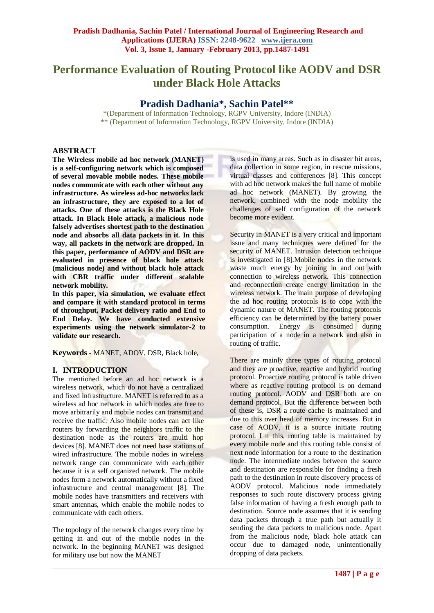# **Performance Evaluation of Routing Protocol like AODV and DSR under Black Hole Attacks**

# **Pradish Dadhania\*, Sachin Patel\*\***

\*(Department of Information Technology, RGPV University, Indore (INDIA) \*\* (Department of Information Technology, RGPV University, Indore (INDIA)

#### **ABSTRACT**

**The Wireless mobile ad hoc network (MANET) is a self-configuring network which is composed of several movable mobile nodes. These mobile nodes communicate with each other without any infrastructure. As wireless ad-hoc networks lack an infrastructure, they are exposed to a lot of attacks. One of these attacks is the Black Hole attack. In Black Hole attack, a malicious node falsely advertises shortest path to the destination node and absorbs all data packets in it. In this way, all packets in the network are dropped. In this paper, performance of AODV and DSR are evaluated in presence of black hole attack (malicious node) and without black hole attack with CBR traffic under different scalable network mobility.**

**In this paper, via simulation, we evaluate effect and compare it with standard protocol in terms of throughput, Packet delivery ratio and End to End Delay. We have conducted extensive experiments using the network simulator-2 to validate our research.**

**Keywords -** MANET, ADOV, DSR, Black hole,

#### **I. INTRODUCTION**

The mentioned before an ad hoc network is a wireless network, which do not have a centralized and fixed infrastructure. MANET is referred to as a wireless ad hoc network in which nodes are free to move arbitrarily and mobile nodes can transmit and receive the traffic. Also mobile nodes can act like routers by forwarding the neighbors traffic to the destination node as the routers are multi hop devices [8]. MANET does not need base stations of wired infrastructure. The mobile nodes in wireless network range can communicate with each other because it is a self organized network. The mobile nodes form a network automatically without a fixed infrastructure and central management [8]. The mobile nodes have transmitters and receivers with smart antennas, which enable the mobile nodes to communicate with each others.

The topology of the network changes every time by getting in and out of the mobile nodes in the network. In the beginning MANET was designed for military use but now the MANET

is used in many areas. Such as in disaster hit areas, data collection in some region, in rescue missions, virtual classes and conferences [8]. This concept with ad hoc network makes the full name of mobile ad hoc network (MANET). By growing the network, combined with the node mobility the challenges of self configuration of the network become more evident.

Security in MANET is a very critical and important issue and many techniques were defined for the security of MANET. Intrusion detection technique is investigated in [8].Mobile nodes in the network waste much energy by joining in and out with connection to wireless network. This connection and reconnection create energy limitation in the wireless network. The main purpose of developing the ad hoc routing protocols is to cope with the dynamic nature of MANET. The routing protocols efficiency can be determined by the battery power consumption. Energy is consumed during participation of a node in a network and also in routing of traffic.

There are mainly three types of routing protocol and they are proactive, reactive and hybrid routing protocol. Proactive routing protocol is table driven where as reactive routing protocol is on demand routing protocol. AODV and DSR both are on demand protocol. But the difference between both of these is, DSR a route cache is maintained and due to this over head of memory increases. But in case of AODV, it is a source initiate routing protocol. I n this, routing table is maintained by every mobile node and this routing table consist of next node information for a route to the destination node. The intermediate nodes between the source and destination are responsible for finding a fresh path to the destination in route discovery process of AODV protocol. Malicious node immediately responses to such route discovery process giving false information of having a fresh enough path to destination. Source node assumes that it is sending data packets through a true path but actually it sending the data packets to malicious node. Apart from the malicious node, black hole attack can occur due to damaged node, unintentionally dropping of data packets.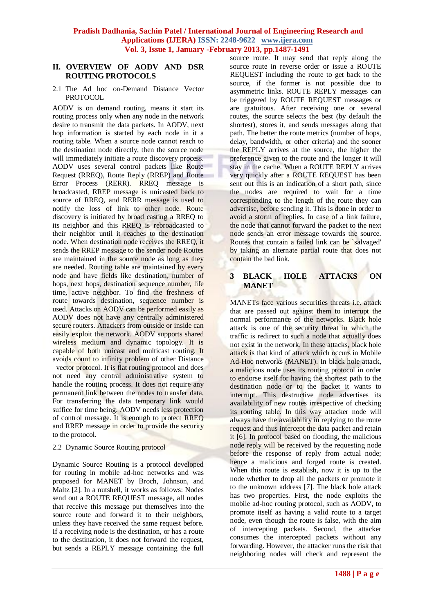# **II. OVERVIEW OF AODV AND DSR ROUTING PROTOCOLS**

#### 2.1 The Ad hoc on-Demand Distance Vector PROTOCOL

AODV is on demand routing, means it start its routing process only when any node in the network desire to transmit the data packets. In AODV, next hop information is started by each node in it a routing table. When a source node cannot reach to the destination node directly, then the source node will immediately initiate a route discovery process. AODV uses several control packets like Route Request (RREQ), Route Reply (RREP) and Route Error Process (RERR). RREQ message is broadcasted, RREP message is unicasted back to source of RREQ, and RERR message is used to notify the loss of link to other node. Route discovery is initiated by broad casting a RREQ to its neighbor and this RREQ is rebroadcasted to their neighbor until it reaches to the destination node. When destination node receives the RREQ, it sends the RREP message to the sender node Routes are maintained in the source node as long as they are needed. Routing table are maintained by every node and have fields like destination, number of hops, next hops, destination sequence number, life time, active neighbor. To find the freshness of route towards destination, sequence number is used. Attacks on AODV can be performed easily as AODV does not have any centrally administered secure routers. Attackers from outside or inside can easily exploit the network. AODV supports shared wireless medium and dynamic topology. It is capable of both unicast and multicast routing. It avoids count to infinity problem of other Distance –vector protocol. It is flat routing protocol and does not need any central administrative system to handle the routing process. It does not require any permanent link between the nodes to transfer data. For transferring the data temporary link would suffice for time being. AODV needs less protection of control message. It is enough to protect RREQ and RREP message in order to provide the security to the protocol.

# 2.2 Dynamic Source Routing protocol

Dynamic Source Routing is a protocol developed for routing in mobile ad-hoc networks and was proposed for MANET by Broch, Johnson, and Maltz [2]. In a nutshell, it works as follows: Nodes send out a ROUTE REQUEST message, all nodes that receive this message put themselves into the source route and forward it to their neighbors, unless they have received the same request before. If a receiving node is the destination, or has a route to the destination, it does not forward the request, but sends a REPLY message containing the full

source route. It may send that reply along the source route in reverse order or issue a ROUTE REQUEST including the route to get back to the source, if the former is not possible due to asymmetric links. ROUTE REPLY messages can be triggered by ROUTE REQUEST messages or are gratuitous. After receiving one or several routes, the source selects the best (by default the shortest), stores it, and sends messages along that path. The better the route metrics (number of hops, delay, bandwidth, or other criteria) and the sooner the REPLY arrives at the source, the higher the preference given to the route and the longer it will stay in the cache. When a ROUTE REPLY arrives very quickly after a ROUTE REQUEST has been sent out this is an indication of a short path, since the nodes are required to wait for a time corresponding to the length of the route they can advertise, before sending it. This is done in order to avoid a storm of replies. In case of a link failure, the node that cannot forward the packet to the next node sends an error message towards the source. Routes that contain a failed link can be salvaged' by taking an alternate partial route that does not contain the bad link.

# **3 BLACK HOLE ATTACKS ON MANET**

MANETs face various securities threats i.e. attack that are passed out against them to interrupt the normal performance of the networks. Black hole attack is one of the security threat in which the traffic is redirect to such a node that actually does not exist in the network. In these attacks, black hole attack is that kind of attack which occurs in Mobile Ad-Hoc networks (MANET). In black hole attack, a malicious node uses its routing protocol in order to endorse itself for having the shortest path to the destination node or to the packet it wants to interrupt. This destructive node advertises its availability of new routes irrespective of checking its routing table. In this way attacker node will always have the availability in replying to the route request and thus intercept the data packet and retain it [6]. In protocol based on flooding, the malicious node reply will be received by the requesting node before the response of reply from actual node; hence a malicious and forged route is created. When this route is establish, now it is up to the node whether to drop all the packets or promote it to the unknown address [7]. The black hole attack has two properties. First, the node exploits the mobile ad-hoc routing protocol, such as AODV, to promote itself as having a valid route to a target node, even though the route is false, with the aim of intercepting packets. Second, the attacker consumes the intercepted packets without any forwarding. However, the attacker runs the risk that neighboring nodes will check and represent the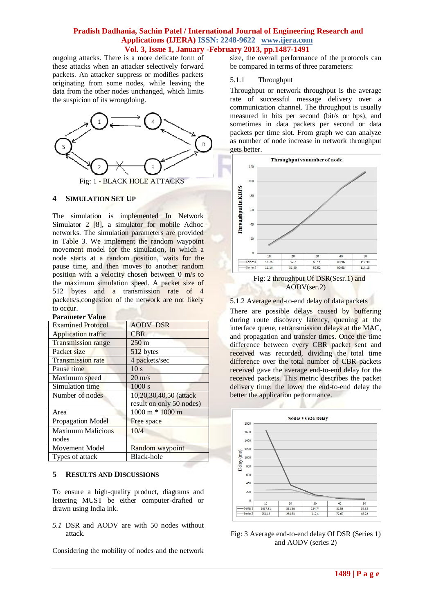#### **Pradish Dadhania, Sachin Patel / International Journal of Engineering Research and Applications (IJERA) ISSN: 2248-9622 www.ijera.com Vol. 3, Issue 1, January -February 2013, pp.1487-1491**

ongoing attacks. There is a more delicate form of these attacks when an attacker selectively forward packets. An attacker suppress or modifies packets originating from some nodes, while leaving the data from the other nodes unchanged, which limits the suspicion of its wrongdoing.



#### **4 SIMULATION SET UP**

The simulation is implemented In Network Simulator 2 [8], a simulator for mobile Adhoc networks. The simulation parameters are provided in Table 3. We implement the random waypoint movement model for the simulation, in which a node starts at a random position, waits for the pause time, and then moves to another random position with a velocity chosen between 0 m/s to the maximum simulation speed. A packet size of 512 bytes and a transmission rate of 4 packets/s,congestion of the network are not likely to occur.

| <b>Parameter Value</b>     |                 |
|----------------------------|-----------------|
| <b>Examined Protocol</b>   | <b>AODV DSR</b> |
| <b>Application traffic</b> | CRP             |

| <b>Application traffic</b> | <b>CBR</b>                        |
|----------------------------|-----------------------------------|
| Transmission range         | $250 \text{ m}$                   |
| Packet size                | 512 bytes                         |
| Transmission rate          | 4 packets/sec                     |
| Pause time                 | 10 <sub>s</sub>                   |
| Maximum speed              | $20 \text{ m/s}$                  |
| Simulation time            | 1000 s                            |
| Number of nodes            | 10,20,30,40,50 (attack            |
|                            | result on only 50 nodes)          |
| Area                       | $1000 \text{ m} * 1000 \text{ m}$ |
| Propagation Model          | Free space                        |
| <b>Maximum Malicious</b>   | 10/4                              |
| nodes                      |                                   |
| Movement Model             | Random waypoint                   |
| Types of attack            | Black-hole                        |

#### **5 RESULTS AND DISCUSSIONS**

To ensure a high-quality product, diagrams and lettering MUST be either computer-drafted or drawn using India ink.

*5.1* DSR and AODV are with 50 nodes without attack*.*

Considering the mobility of nodes and the network

size, the overall performance of the protocols can be compared in terms of three parameters:

#### 5.1.1 Throughput

Throughput or network throughput is the average rate of successful message delivery over a communication channel. The throughput is usually measured in bits per second (bit/s or bps), and sometimes in data packets per second or data packets per time slot. From graph we can analyze as number of node increase in network throughput gets better.



AODV(ser.2)

#### 5.1.2 Average end-to-end delay of data packets

There are possible delays caused by buffering during route discovery latency, queuing at the interface queue, retransmission delays at the MAC, and propagation and transfer times. Once the time difference between every CBR packet sent and received was recorded, dividing the total time difference over the total number of CBR packets received gave the average end-to-end delay for the received packets. This metric describes the packet delivery time: the lower the end-to-end delay the better the application performance.



Fig: 3 Average end-to-end delay Of DSR (Series 1) and AODV (series 2)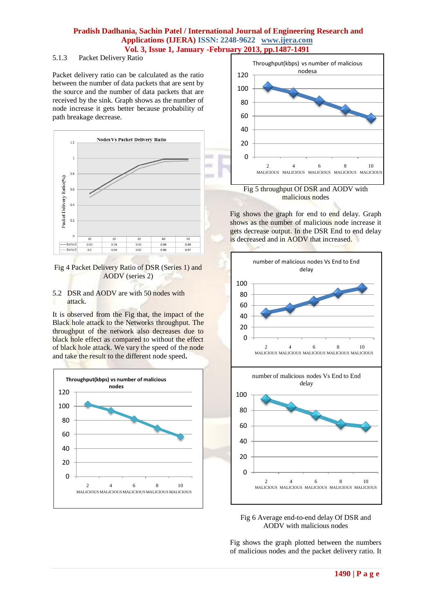# **Pradish Dadhania, Sachin Patel / International Journal of Engineering Research and Applications (IJERA) ISSN: 2248-9622 www.ijera.com Vol. 3, Issue 1, January -February 2013, pp.1487-1491**

#### 5.1.3 Packet Delivery Ratio

Packet delivery ratio can be calculated as the ratio between the number of data packets that are sent by the source and the number of data packets that are received by the sink. Graph shows as the number of node increase it gets better because probability of path breakage decrease.



Fig 4 Packet Delivery Ratio of DSR (Series 1) and AODV (series 2)

5.2 DSR and AODV are with 50 nodes with attack.

It is observed from the Fig that, the impact of the Black hole attack to the Networks throughput. The throughput of the network also decreases due to black hole effect as compared to without the effect of black hole attack. We vary the speed of the node and take the result to the different node speed**.**





Fig 5 throughput Of DSR and AODV with malicious nodes

Fig shows the graph for end to end delay. Graph shows as the number of malicious node increase it gets decrease output. In the DSR End to end delay is decreased and in AODV that increased.





Fig shows the graph plotted between the numbers of malicious nodes and the packet delivery ratio. It